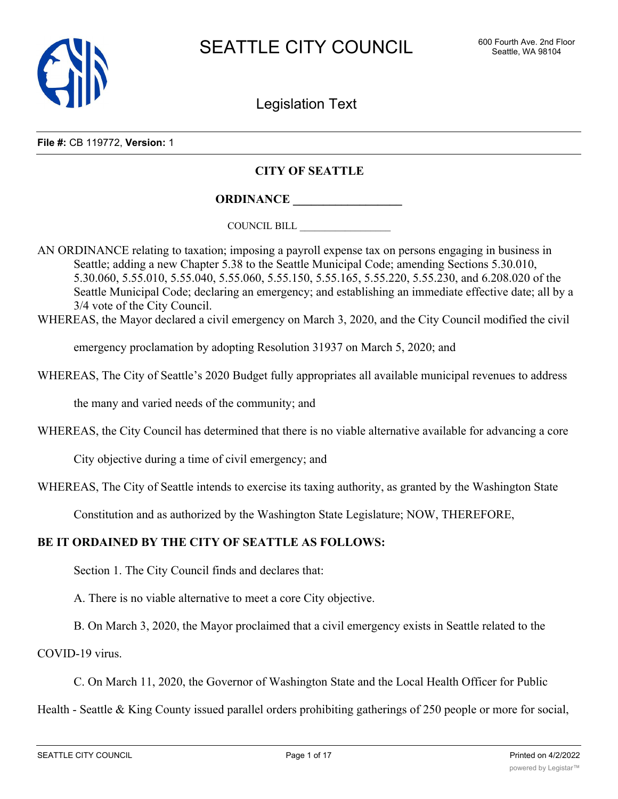

Legislation Text

**File #:** CB 119772, **Version:** 1

## **CITY OF SEATTLE**

**ORDINANCE \_\_\_\_\_\_\_\_\_\_\_\_\_\_\_\_\_\_**

COUNCIL BILL \_\_\_\_\_\_\_\_\_\_\_\_\_\_\_\_\_\_

AN ORDINANCE relating to taxation; imposing a payroll expense tax on persons engaging in business in Seattle; adding a new Chapter 5.38 to the Seattle Municipal Code; amending Sections 5.30.010, 5.30.060, 5.55.010, 5.55.040, 5.55.060, 5.55.150, 5.55.165, 5.55.220, 5.55.230, and 6.208.020 of the Seattle Municipal Code; declaring an emergency; and establishing an immediate effective date; all by a 3/4 vote of the City Council.

WHEREAS, the Mayor declared a civil emergency on March 3, 2020, and the City Council modified the civil

emergency proclamation by adopting Resolution 31937 on March 5, 2020; and

WHEREAS, The City of Seattle's 2020 Budget fully appropriates all available municipal revenues to address

the many and varied needs of the community; and

WHEREAS, the City Council has determined that there is no viable alternative available for advancing a core

City objective during a time of civil emergency; and

WHEREAS, The City of Seattle intends to exercise its taxing authority, as granted by the Washington State

Constitution and as authorized by the Washington State Legislature; NOW, THEREFORE,

#### **BE IT ORDAINED BY THE CITY OF SEATTLE AS FOLLOWS:**

Section 1. The City Council finds and declares that:

A. There is no viable alternative to meet a core City objective.

B. On March 3, 2020, the Mayor proclaimed that a civil emergency exists in Seattle related to the

COVID-19 virus.

C. On March 11, 2020, the Governor of Washington State and the Local Health Officer for Public

Health - Seattle & King County issued parallel orders prohibiting gatherings of 250 people or more for social,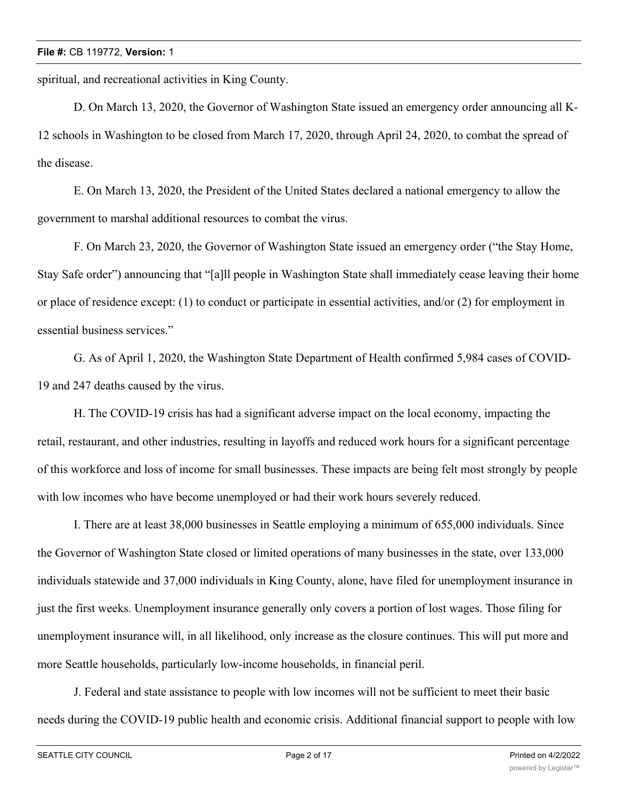spiritual, and recreational activities in King County.

D. On March 13, 2020, the Governor of Washington State issued an emergency order announcing all K-12 schools in Washington to be closed from March 17, 2020, through April 24, 2020, to combat the spread of the disease.

E. On March 13, 2020, the President of the United States declared a national emergency to allow the government to marshal additional resources to combat the virus.

F. On March 23, 2020, the Governor of Washington State issued an emergency order ("the Stay Home, Stay Safe order") announcing that "[a]ll people in Washington State shall immediately cease leaving their home or place of residence except: (1) to conduct or participate in essential activities, and/or (2) for employment in essential business services."

G. As of April 1, 2020, the Washington State Department of Health confirmed 5,984 cases of COVID-19 and 247 deaths caused by the virus.

H. The COVID-19 crisis has had a significant adverse impact on the local economy, impacting the retail, restaurant, and other industries, resulting in layoffs and reduced work hours for a significant percentage of this workforce and loss of income for small businesses. These impacts are being felt most strongly by people with low incomes who have become unemployed or had their work hours severely reduced.

I. There are at least 38,000 businesses in Seattle employing a minimum of 655,000 individuals. Since the Governor of Washington State closed or limited operations of many businesses in the state, over 133,000 individuals statewide and 37,000 individuals in King County, alone, have filed for unemployment insurance in just the first weeks. Unemployment insurance generally only covers a portion of lost wages. Those filing for unemployment insurance will, in all likelihood, only increase as the closure continues. This will put more and more Seattle households, particularly low-income households, in financial peril.

J. Federal and state assistance to people with low incomes will not be sufficient to meet their basic needs during the COVID-19 public health and economic crisis. Additional financial support to people with low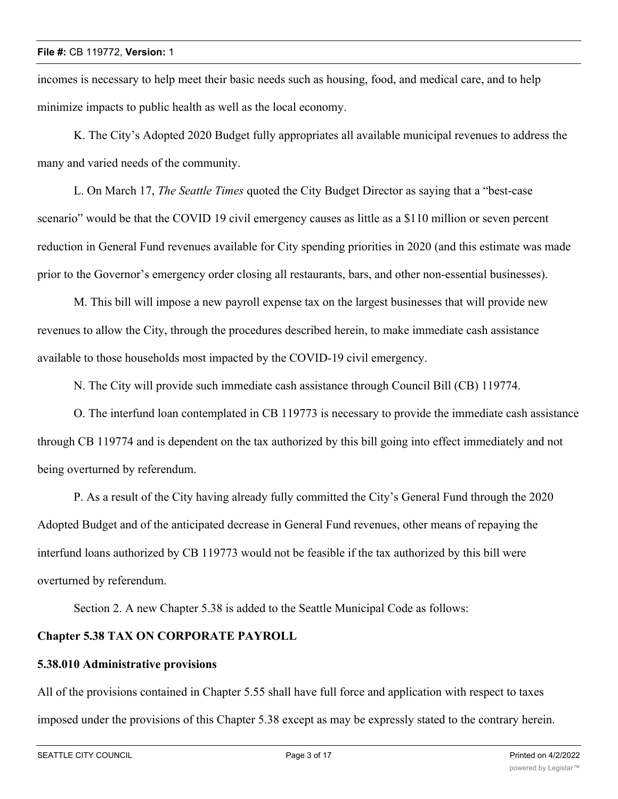incomes is necessary to help meet their basic needs such as housing, food, and medical care, and to help minimize impacts to public health as well as the local economy.

K. The City's Adopted 2020 Budget fully appropriates all available municipal revenues to address the many and varied needs of the community.

L. On March 17, *The Seattle Times* quoted the City Budget Director as saying that a "best-case scenario" would be that the COVID 19 civil emergency causes as little as a \$110 million or seven percent reduction in General Fund revenues available for City spending priorities in 2020 (and this estimate was made prior to the Governor's emergency order closing all restaurants, bars, and other non-essential businesses).

M. This bill will impose a new payroll expense tax on the largest businesses that will provide new revenues to allow the City, through the procedures described herein, to make immediate cash assistance available to those households most impacted by the COVID-19 civil emergency.

N. The City will provide such immediate cash assistance through Council Bill (CB) 119774.

O. The interfund loan contemplated in CB 119773 is necessary to provide the immediate cash assistance through CB 119774 and is dependent on the tax authorized by this bill going into effect immediately and not being overturned by referendum.

P. As a result of the City having already fully committed the City's General Fund through the 2020 Adopted Budget and of the anticipated decrease in General Fund revenues, other means of repaying the interfund loans authorized by CB 119773 would not be feasible if the tax authorized by this bill were overturned by referendum.

Section 2. A new Chapter 5.38 is added to the Seattle Municipal Code as follows:

# **Chapter 5.38 TAX ON CORPORATE PAYROLL**

## **5.38.010 Administrative provisions**

All of the provisions contained in Chapter 5.55 shall have full force and application with respect to taxes imposed under the provisions of this Chapter 5.38 except as may be expressly stated to the contrary herein.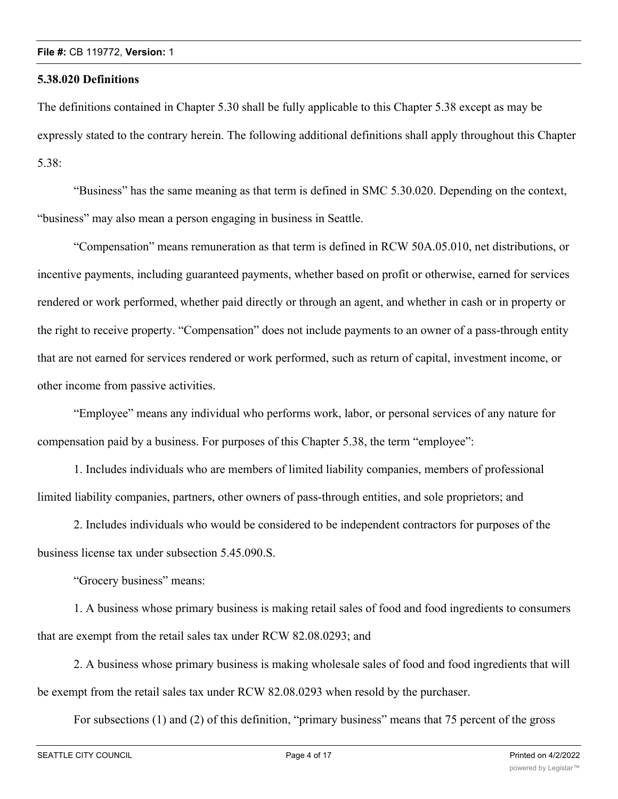### **5.38.020 Definitions**

The definitions contained in Chapter 5.30 shall be fully applicable to this Chapter 5.38 except as may be expressly stated to the contrary herein. The following additional definitions shall apply throughout this Chapter 5.38:

"Business" has the same meaning as that term is defined in SMC 5.30.020. Depending on the context, "business" may also mean a person engaging in business in Seattle.

"Compensation" means remuneration as that term is defined in RCW 50A.05.010, net distributions, or incentive payments, including guaranteed payments, whether based on profit or otherwise, earned for services rendered or work performed, whether paid directly or through an agent, and whether in cash or in property or the right to receive property. "Compensation" does not include payments to an owner of a pass-through entity that are not earned for services rendered or work performed, such as return of capital, investment income, or other income from passive activities.

"Employee" means any individual who performs work, labor, or personal services of any nature for compensation paid by a business. For purposes of this Chapter 5.38, the term "employee":

1. Includes individuals who are members of limited liability companies, members of professional limited liability companies, partners, other owners of pass-through entities, and sole proprietors; and

2. Includes individuals who would be considered to be independent contractors for purposes of the business license tax under subsection 5.45.090.S.

"Grocery business" means:

1. A business whose primary business is making retail sales of food and food ingredients to consumers that are exempt from the retail sales tax under RCW 82.08.0293; and

2. A business whose primary business is making wholesale sales of food and food ingredients that will be exempt from the retail sales tax under RCW 82.08.0293 when resold by the purchaser.

For subsections (1) and (2) of this definition, "primary business" means that 75 percent of the gross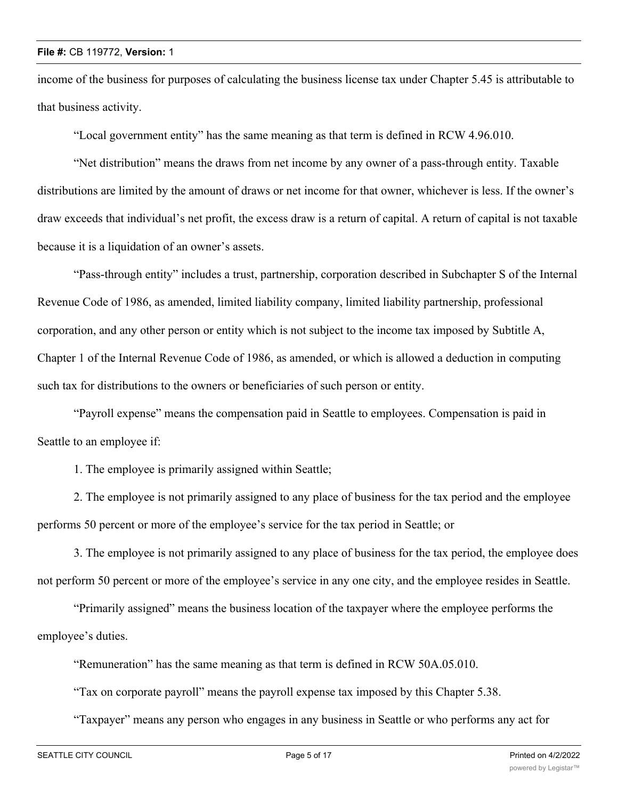income of the business for purposes of calculating the business license tax under Chapter 5.45 is attributable to that business activity.

"Local government entity" has the same meaning as that term is defined in RCW 4.96.010.

"Net distribution" means the draws from net income by any owner of a pass-through entity. Taxable distributions are limited by the amount of draws or net income for that owner, whichever is less. If the owner's draw exceeds that individual's net profit, the excess draw is a return of capital. A return of capital is not taxable because it is a liquidation of an owner's assets.

"Pass-through entity" includes a trust, partnership, corporation described in Subchapter S of the Internal Revenue Code of 1986, as amended, limited liability company, limited liability partnership, professional corporation, and any other person or entity which is not subject to the income tax imposed by Subtitle A, Chapter 1 of the Internal Revenue Code of 1986, as amended, or which is allowed a deduction in computing such tax for distributions to the owners or beneficiaries of such person or entity.

"Payroll expense" means the compensation paid in Seattle to employees. Compensation is paid in Seattle to an employee if:

1. The employee is primarily assigned within Seattle;

2. The employee is not primarily assigned to any place of business for the tax period and the employee performs 50 percent or more of the employee's service for the tax period in Seattle; or

3. The employee is not primarily assigned to any place of business for the tax period, the employee does not perform 50 percent or more of the employee's service in any one city, and the employee resides in Seattle.

"Primarily assigned" means the business location of the taxpayer where the employee performs the employee's duties.

"Remuneration" has the same meaning as that term is defined in RCW 50A.05.010.

"Tax on corporate payroll" means the payroll expense tax imposed by this Chapter 5.38.

"Taxpayer" means any person who engages in any business in Seattle or who performs any act for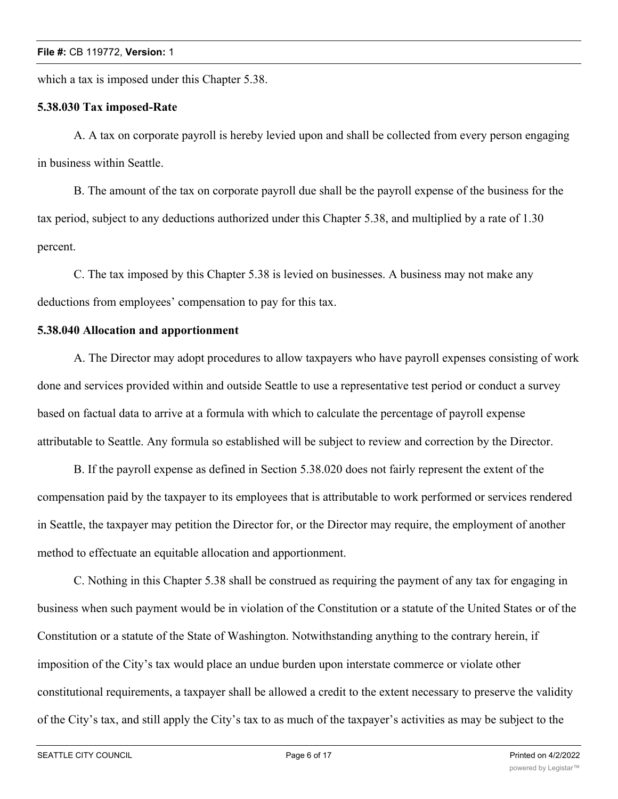which a tax is imposed under this Chapter 5.38.

## **5.38.030 Tax imposed-Rate**

A. A tax on corporate payroll is hereby levied upon and shall be collected from every person engaging in business within Seattle.

B. The amount of the tax on corporate payroll due shall be the payroll expense of the business for the tax period, subject to any deductions authorized under this Chapter 5.38, and multiplied by a rate of 1.30 percent.

C. The tax imposed by this Chapter 5.38 is levied on businesses. A business may not make any deductions from employees' compensation to pay for this tax.

## **5.38.040 Allocation and apportionment**

A. The Director may adopt procedures to allow taxpayers who have payroll expenses consisting of work done and services provided within and outside Seattle to use a representative test period or conduct a survey based on factual data to arrive at a formula with which to calculate the percentage of payroll expense attributable to Seattle. Any formula so established will be subject to review and correction by the Director.

B. If the payroll expense as defined in Section 5.38.020 does not fairly represent the extent of the compensation paid by the taxpayer to its employees that is attributable to work performed or services rendered in Seattle, the taxpayer may petition the Director for, or the Director may require, the employment of another method to effectuate an equitable allocation and apportionment.

C. Nothing in this Chapter 5.38 shall be construed as requiring the payment of any tax for engaging in business when such payment would be in violation of the Constitution or a statute of the United States or of the Constitution or a statute of the State of Washington. Notwithstanding anything to the contrary herein, if imposition of the City's tax would place an undue burden upon interstate commerce or violate other constitutional requirements, a taxpayer shall be allowed a credit to the extent necessary to preserve the validity of the City's tax, and still apply the City's tax to as much of the taxpayer's activities as may be subject to the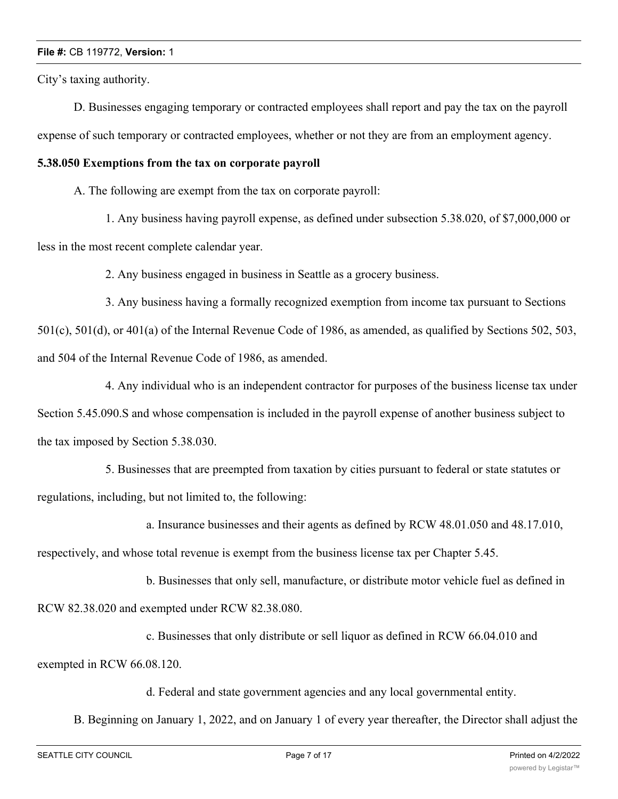City's taxing authority.

D. Businesses engaging temporary or contracted employees shall report and pay the tax on the payroll expense of such temporary or contracted employees, whether or not they are from an employment agency.

## **5.38.050 Exemptions from the tax on corporate payroll**

A. The following are exempt from the tax on corporate payroll:

1. Any business having payroll expense, as defined under subsection 5.38.020, of \$7,000,000 or less in the most recent complete calendar year.

2. Any business engaged in business in Seattle as a grocery business.

3. Any business having a formally recognized exemption from income tax pursuant to Sections 501(c), 501(d), or 401(a) of the Internal Revenue Code of 1986, as amended, as qualified by Sections 502, 503, and 504 of the Internal Revenue Code of 1986, as amended.

4. Any individual who is an independent contractor for purposes of the business license tax under Section 5.45.090.S and whose compensation is included in the payroll expense of another business subject to the tax imposed by Section 5.38.030.

5. Businesses that are preempted from taxation by cities pursuant to federal or state statutes or regulations, including, but not limited to, the following:

a. Insurance businesses and their agents as defined by RCW 48.01.050 and 48.17.010, respectively, and whose total revenue is exempt from the business license tax per Chapter 5.45.

b. Businesses that only sell, manufacture, or distribute motor vehicle fuel as defined in RCW 82.38.020 and exempted under RCW 82.38.080.

c. Businesses that only distribute or sell liquor as defined in RCW 66.04.010 and exempted in RCW 66.08.120.

d. Federal and state government agencies and any local governmental entity.

B. Beginning on January 1, 2022, and on January 1 of every year thereafter, the Director shall adjust the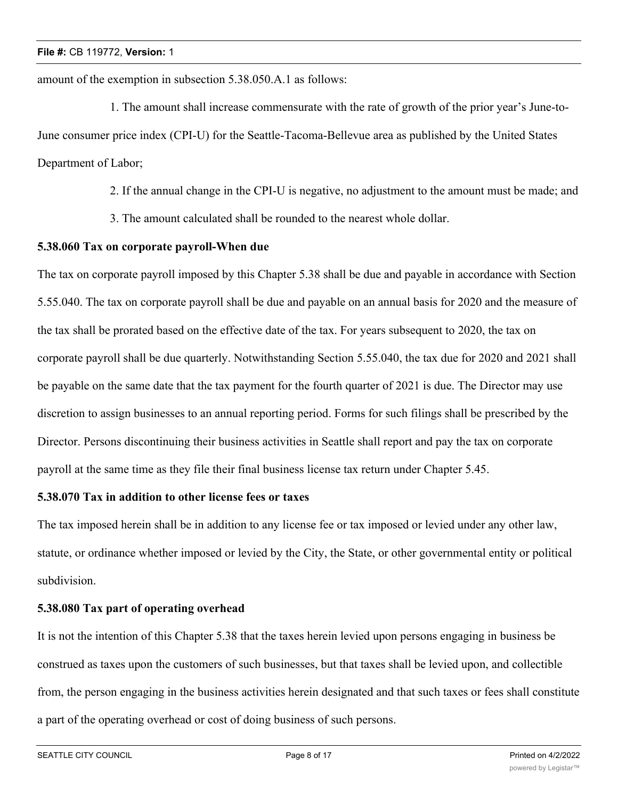amount of the exemption in subsection 5.38.050.A.1 as follows:

1. The amount shall increase commensurate with the rate of growth of the prior year's June-to-June consumer price index (CPI-U) for the Seattle-Tacoma-Bellevue area as published by the United States Department of Labor;

2. If the annual change in the CPI-U is negative, no adjustment to the amount must be made; and

3. The amount calculated shall be rounded to the nearest whole dollar.

## **5.38.060 Tax on corporate payroll-When due**

The tax on corporate payroll imposed by this Chapter 5.38 shall be due and payable in accordance with Section 5.55.040. The tax on corporate payroll shall be due and payable on an annual basis for 2020 and the measure of the tax shall be prorated based on the effective date of the tax. For years subsequent to 2020, the tax on corporate payroll shall be due quarterly. Notwithstanding Section 5.55.040, the tax due for 2020 and 2021 shall be payable on the same date that the tax payment for the fourth quarter of 2021 is due. The Director may use discretion to assign businesses to an annual reporting period. Forms for such filings shall be prescribed by the Director. Persons discontinuing their business activities in Seattle shall report and pay the tax on corporate payroll at the same time as they file their final business license tax return under Chapter 5.45.

## **5.38.070 Tax in addition to other license fees or taxes**

The tax imposed herein shall be in addition to any license fee or tax imposed or levied under any other law, statute, or ordinance whether imposed or levied by the City, the State, or other governmental entity or political subdivision.

## **5.38.080 Tax part of operating overhead**

It is not the intention of this Chapter 5.38 that the taxes herein levied upon persons engaging in business be construed as taxes upon the customers of such businesses, but that taxes shall be levied upon, and collectible from, the person engaging in the business activities herein designated and that such taxes or fees shall constitute a part of the operating overhead or cost of doing business of such persons.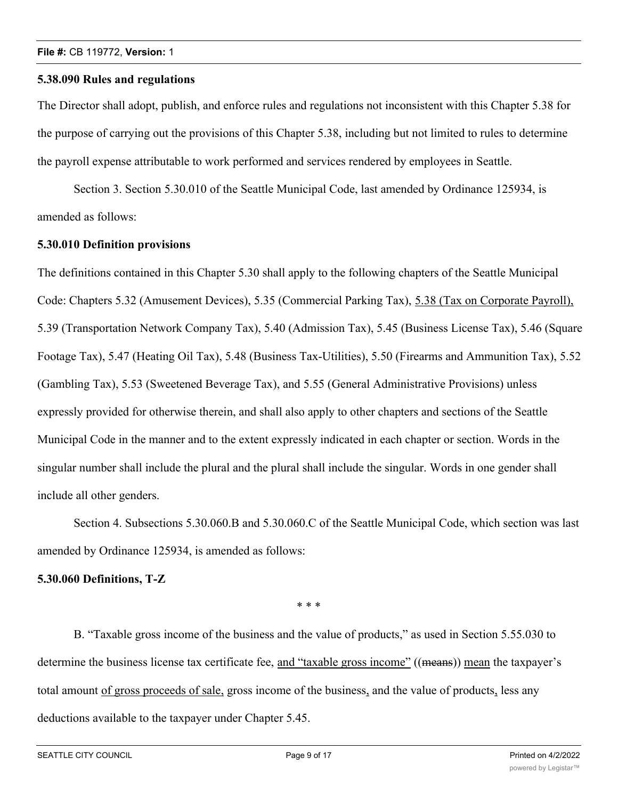### **5.38.090 Rules and regulations**

The Director shall adopt, publish, and enforce rules and regulations not inconsistent with this Chapter 5.38 for the purpose of carrying out the provisions of this Chapter 5.38, including but not limited to rules to determine the payroll expense attributable to work performed and services rendered by employees in Seattle.

Section 3. Section 5.30.010 of the Seattle Municipal Code, last amended by Ordinance 125934, is amended as follows:

## **5.30.010 Definition provisions**

The definitions contained in this Chapter 5.30 shall apply to the following chapters of the Seattle Municipal Code: Chapters 5.32 (Amusement Devices), 5.35 (Commercial Parking Tax), 5.38 (Tax on Corporate Payroll), 5.39 (Transportation Network Company Tax), 5.40 (Admission Tax), 5.45 (Business License Tax), 5.46 (Square Footage Tax), 5.47 (Heating Oil Tax), 5.48 (Business Tax-Utilities), 5.50 (Firearms and Ammunition Tax), 5.52 (Gambling Tax), 5.53 (Sweetened Beverage Tax), and 5.55 (General Administrative Provisions) unless expressly provided for otherwise therein, and shall also apply to other chapters and sections of the Seattle Municipal Code in the manner and to the extent expressly indicated in each chapter or section. Words in the singular number shall include the plural and the plural shall include the singular. Words in one gender shall include all other genders.

Section 4. Subsections 5.30.060.B and 5.30.060.C of the Seattle Municipal Code, which section was last amended by Ordinance 125934, is amended as follows:

## **5.30.060 Definitions, T-Z**

\* \* \*

B. "Taxable gross income of the business and the value of products," as used in Section 5.55.030 to determine the business license tax certificate fee, and "taxable gross income" ((means)) mean the taxpayer's total amount of gross proceeds of sale, gross income of the business, and the value of products, less any deductions available to the taxpayer under Chapter 5.45.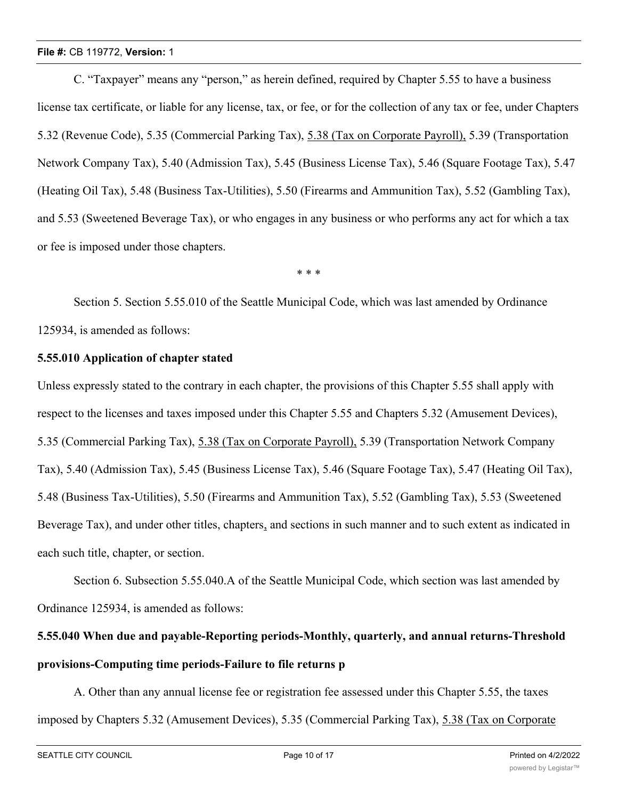C. "Taxpayer" means any "person," as herein defined, required by Chapter 5.55 to have a business license tax certificate, or liable for any license, tax, or fee, or for the collection of any tax or fee, under Chapters 5.32 (Revenue Code), 5.35 (Commercial Parking Tax), 5.38 (Tax on Corporate Payroll), 5.39 (Transportation Network Company Tax), 5.40 (Admission Tax), 5.45 (Business License Tax), 5.46 (Square Footage Tax), 5.47 (Heating Oil Tax), 5.48 (Business Tax-Utilities), 5.50 (Firearms and Ammunition Tax), 5.52 (Gambling Tax), and 5.53 (Sweetened Beverage Tax), or who engages in any business or who performs any act for which a tax or fee is imposed under those chapters.

\* \* \*

Section 5. Section 5.55.010 of the Seattle Municipal Code, which was last amended by Ordinance 125934, is amended as follows:

## **5.55.010 Application of chapter stated**

Unless expressly stated to the contrary in each chapter, the provisions of this Chapter 5.55 shall apply with respect to the licenses and taxes imposed under this Chapter 5.55 and Chapters 5.32 (Amusement Devices), 5.35 (Commercial Parking Tax), 5.38 (Tax on Corporate Payroll), 5.39 (Transportation Network Company Tax), 5.40 (Admission Tax), 5.45 (Business License Tax), 5.46 (Square Footage Tax), 5.47 (Heating Oil Tax), 5.48 (Business Tax-Utilities), 5.50 (Firearms and Ammunition Tax), 5.52 (Gambling Tax), 5.53 (Sweetened Beverage Tax), and under other titles, chapters, and sections in such manner and to such extent as indicated in each such title, chapter, or section.

Section 6. Subsection 5.55.040.A of the Seattle Municipal Code, which section was last amended by Ordinance 125934, is amended as follows:

# **5.55.040 When due and payable-Reporting periods-Monthly, quarterly, and annual returns-Threshold provisions-Computing time periods-Failure to file returns p**

A. Other than any annual license fee or registration fee assessed under this Chapter 5.55, the taxes imposed by Chapters 5.32 (Amusement Devices), 5.35 (Commercial Parking Tax), 5.38 (Tax on Corporate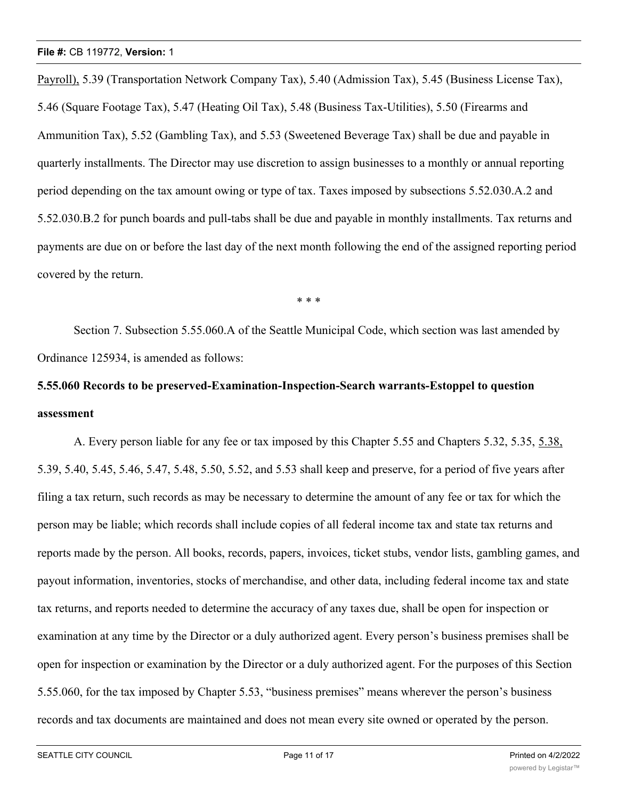Payroll), 5.39 (Transportation Network Company Tax), 5.40 (Admission Tax), 5.45 (Business License Tax), 5.46 (Square Footage Tax), 5.47 (Heating Oil Tax), 5.48 (Business Tax-Utilities), 5.50 (Firearms and Ammunition Tax), 5.52 (Gambling Tax), and 5.53 (Sweetened Beverage Tax) shall be due and payable in quarterly installments. The Director may use discretion to assign businesses to a monthly or annual reporting period depending on the tax amount owing or type of tax. Taxes imposed by subsections 5.52.030.A.2 and 5.52.030.B.2 for punch boards and pull-tabs shall be due and payable in monthly installments. Tax returns and payments are due on or before the last day of the next month following the end of the assigned reporting period covered by the return.

\* \* \*

Section 7. Subsection 5.55.060.A of the Seattle Municipal Code, which section was last amended by Ordinance 125934, is amended as follows:

# **5.55.060 Records to be preserved-Examination-Inspection-Search warrants-Estoppel to question assessment**

A. Every person liable for any fee or tax imposed by this Chapter 5.55 and Chapters 5.32, 5.35, 5.38, 5.39, 5.40, 5.45, 5.46, 5.47, 5.48, 5.50, 5.52, and 5.53 shall keep and preserve, for a period of five years after filing a tax return, such records as may be necessary to determine the amount of any fee or tax for which the person may be liable; which records shall include copies of all federal income tax and state tax returns and reports made by the person. All books, records, papers, invoices, ticket stubs, vendor lists, gambling games, and payout information, inventories, stocks of merchandise, and other data, including federal income tax and state tax returns, and reports needed to determine the accuracy of any taxes due, shall be open for inspection or examination at any time by the Director or a duly authorized agent. Every person's business premises shall be open for inspection or examination by the Director or a duly authorized agent. For the purposes of this Section 5.55.060, for the tax imposed by Chapter 5.53, "business premises" means wherever the person's business records and tax documents are maintained and does not mean every site owned or operated by the person.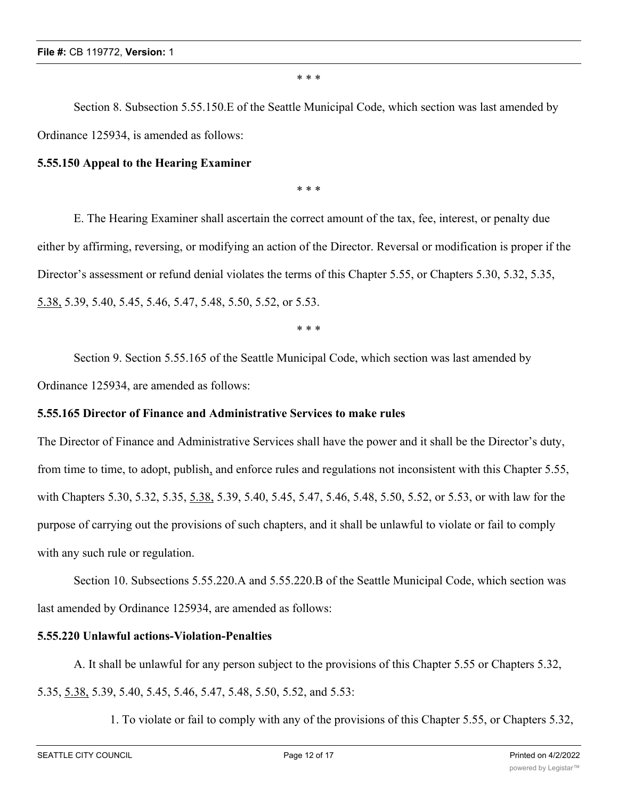\* \* \*

Section 8. Subsection 5.55.150.E of the Seattle Municipal Code, which section was last amended by Ordinance 125934, is amended as follows:

## **5.55.150 Appeal to the Hearing Examiner**

\* \* \*

E. The Hearing Examiner shall ascertain the correct amount of the tax, fee, interest, or penalty due either by affirming, reversing, or modifying an action of the Director. Reversal or modification is proper if the Director's assessment or refund denial violates the terms of this Chapter 5.55, or Chapters 5.30, 5.32, 5.35, 5.38, 5.39, 5.40, 5.45, 5.46, 5.47, 5.48, 5.50, 5.52, or 5.53.

\* \* \*

Section 9. Section 5.55.165 of the Seattle Municipal Code, which section was last amended by Ordinance 125934, are amended as follows:

### **5.55.165 Director of Finance and Administrative Services to make rules**

The Director of Finance and Administrative Services shall have the power and it shall be the Director's duty, from time to time, to adopt, publish, and enforce rules and regulations not inconsistent with this Chapter 5.55, with Chapters 5.30, 5.32, 5.35, 5.38, 5.39, 5.40, 5.45, 5.47, 5.46, 5.48, 5.50, 5.52, or 5.53, or with law for the purpose of carrying out the provisions of such chapters, and it shall be unlawful to violate or fail to comply with any such rule or regulation.

Section 10. Subsections 5.55.220.A and 5.55.220.B of the Seattle Municipal Code, which section was last amended by Ordinance 125934, are amended as follows:

## **5.55.220 Unlawful actions-Violation-Penalties**

A. It shall be unlawful for any person subject to the provisions of this Chapter 5.55 or Chapters 5.32, 5.35, 5.38, 5.39, 5.40, 5.45, 5.46, 5.47, 5.48, 5.50, 5.52, and 5.53:

1. To violate or fail to comply with any of the provisions of this Chapter 5.55, or Chapters 5.32,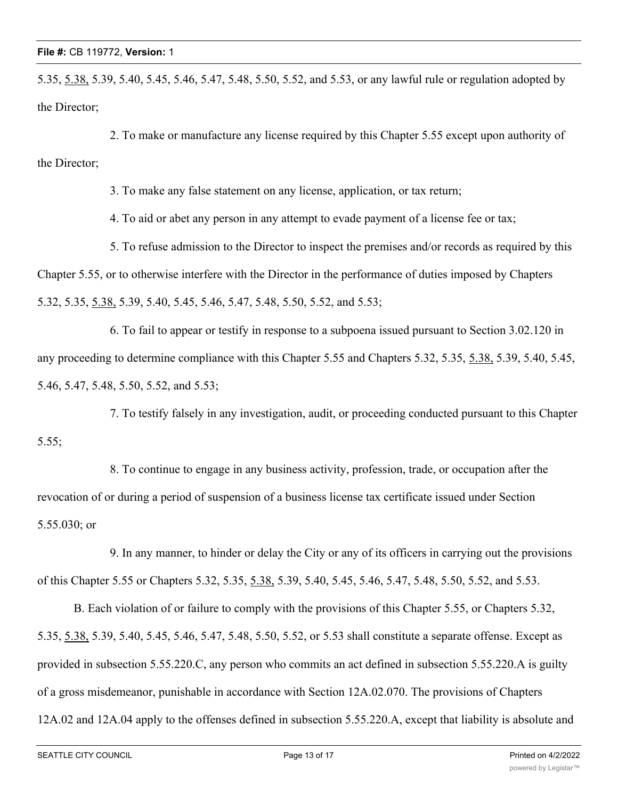5.35, 5.38, 5.39, 5.40, 5.45, 5.46, 5.47, 5.48, 5.50, 5.52, and 5.53, or any lawful rule or regulation adopted by the Director;

2. To make or manufacture any license required by this Chapter 5.55 except upon authority of the Director;

3. To make any false statement on any license, application, or tax return;

4. To aid or abet any person in any attempt to evade payment of a license fee or tax;

5. To refuse admission to the Director to inspect the premises and/or records as required by this Chapter 5.55, or to otherwise interfere with the Director in the performance of duties imposed by Chapters 5.32, 5.35, 5.38, 5.39, 5.40, 5.45, 5.46, 5.47, 5.48, 5.50, 5.52, and 5.53;

6. To fail to appear or testify in response to a subpoena issued pursuant to Section 3.02.120 in any proceeding to determine compliance with this Chapter 5.55 and Chapters 5.32, 5.35, 5.38, 5.39, 5.40, 5.45, 5.46, 5.47, 5.48, 5.50, 5.52, and 5.53;

7. To testify falsely in any investigation, audit, or proceeding conducted pursuant to this Chapter 5.55;

8. To continue to engage in any business activity, profession, trade, or occupation after the revocation of or during a period of suspension of a business license tax certificate issued under Section 5.55.030; or

9. In any manner, to hinder or delay the City or any of its officers in carrying out the provisions of this Chapter 5.55 or Chapters 5.32, 5.35, 5.38, 5.39, 5.40, 5.45, 5.46, 5.47, 5.48, 5.50, 5.52, and 5.53.

B. Each violation of or failure to comply with the provisions of this Chapter 5.55, or Chapters 5.32, 5.35, 5.38, 5.39, 5.40, 5.45, 5.46, 5.47, 5.48, 5.50, 5.52, or 5.53 shall constitute a separate offense. Except as provided in subsection 5.55.220.C, any person who commits an act defined in subsection 5.55.220.A is guilty of a gross misdemeanor, punishable in accordance with Section 12A.02.070. The provisions of Chapters 12A.02 and 12A.04 apply to the offenses defined in subsection 5.55.220.A, except that liability is absolute and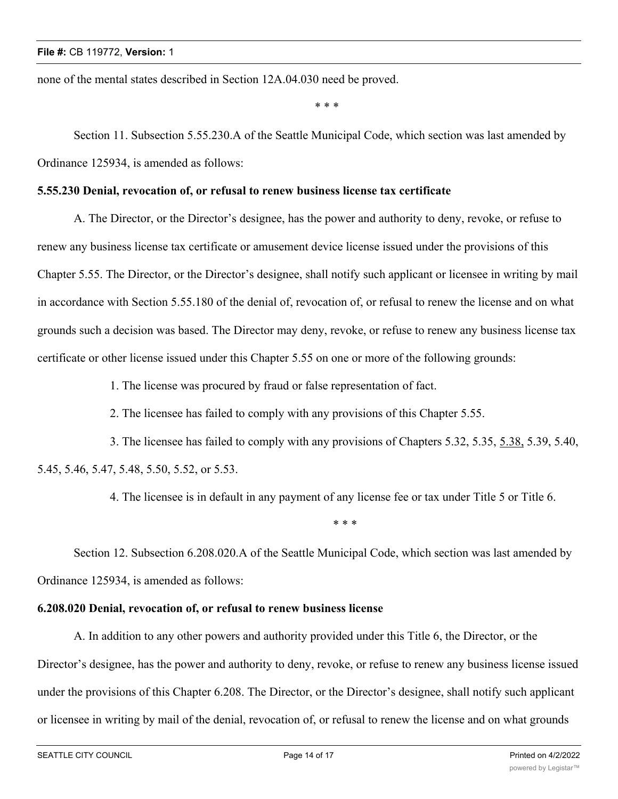none of the mental states described in Section 12A.04.030 need be proved.

\* \* \*

Section 11. Subsection 5.55.230.A of the Seattle Municipal Code, which section was last amended by Ordinance 125934, is amended as follows:

## **5.55.230 Denial, revocation of, or refusal to renew business license tax certificate**

A. The Director, or the Director's designee, has the power and authority to deny, revoke, or refuse to renew any business license tax certificate or amusement device license issued under the provisions of this Chapter 5.55. The Director, or the Director's designee, shall notify such applicant or licensee in writing by mail in accordance with Section 5.55.180 of the denial of, revocation of, or refusal to renew the license and on what grounds such a decision was based. The Director may deny, revoke, or refuse to renew any business license tax certificate or other license issued under this Chapter 5.55 on one or more of the following grounds:

1. The license was procured by fraud or false representation of fact.

2. The licensee has failed to comply with any provisions of this Chapter 5.55.

3. The licensee has failed to comply with any provisions of Chapters 5.32, 5.35, 5.38, 5.39, 5.40, 5.45, 5.46, 5.47, 5.48, 5.50, 5.52, or 5.53.

4. The licensee is in default in any payment of any license fee or tax under Title 5 or Title 6.

\* \* \*

Section 12. Subsection 6.208.020.A of the Seattle Municipal Code, which section was last amended by Ordinance 125934, is amended as follows:

#### **6.208.020 Denial, revocation of, or refusal to renew business license**

A. In addition to any other powers and authority provided under this Title 6, the Director, or the Director's designee, has the power and authority to deny, revoke, or refuse to renew any business license issued under the provisions of this Chapter 6.208. The Director, or the Director's designee, shall notify such applicant or licensee in writing by mail of the denial, revocation of, or refusal to renew the license and on what grounds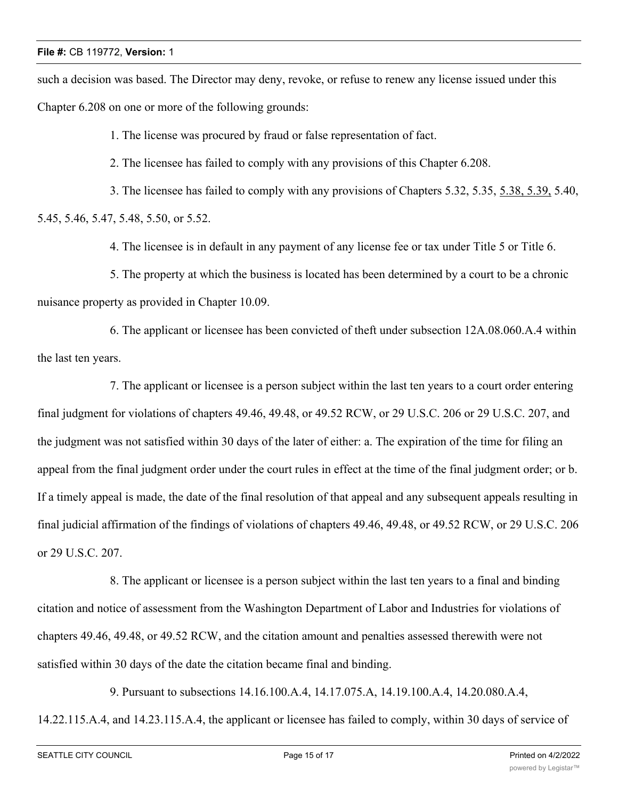such a decision was based. The Director may deny, revoke, or refuse to renew any license issued under this Chapter 6.208 on one or more of the following grounds:

1. The license was procured by fraud or false representation of fact.

2. The licensee has failed to comply with any provisions of this Chapter 6.208.

3. The licensee has failed to comply with any provisions of Chapters 5.32, 5.35, 5.38, 5.39, 5.40, 5.45, 5.46, 5.47, 5.48, 5.50, or 5.52.

4. The licensee is in default in any payment of any license fee or tax under Title 5 or Title 6.

5. The property at which the business is located has been determined by a court to be a chronic nuisance property as provided in Chapter 10.09.

6. The applicant or licensee has been convicted of theft under subsection 12A.08.060.A.4 within the last ten years.

7. The applicant or licensee is a person subject within the last ten years to a court order entering final judgment for violations of chapters 49.46, 49.48, or 49.52 RCW, or 29 U.S.C. 206 or 29 U.S.C. 207, and the judgment was not satisfied within 30 days of the later of either: a. The expiration of the time for filing an appeal from the final judgment order under the court rules in effect at the time of the final judgment order; or b. If a timely appeal is made, the date of the final resolution of that appeal and any subsequent appeals resulting in final judicial affirmation of the findings of violations of chapters 49.46, 49.48, or 49.52 RCW, or 29 U.S.C. 206 or 29 U.S.C. 207.

8. The applicant or licensee is a person subject within the last ten years to a final and binding citation and notice of assessment from the Washington Department of Labor and Industries for violations of chapters 49.46, 49.48, or 49.52 RCW, and the citation amount and penalties assessed therewith were not satisfied within 30 days of the date the citation became final and binding.

9. Pursuant to subsections 14.16.100.A.4, 14.17.075.A, 14.19.100.A.4, 14.20.080.A.4, 14.22.115.A.4, and 14.23.115.A.4, the applicant or licensee has failed to comply, within 30 days of service of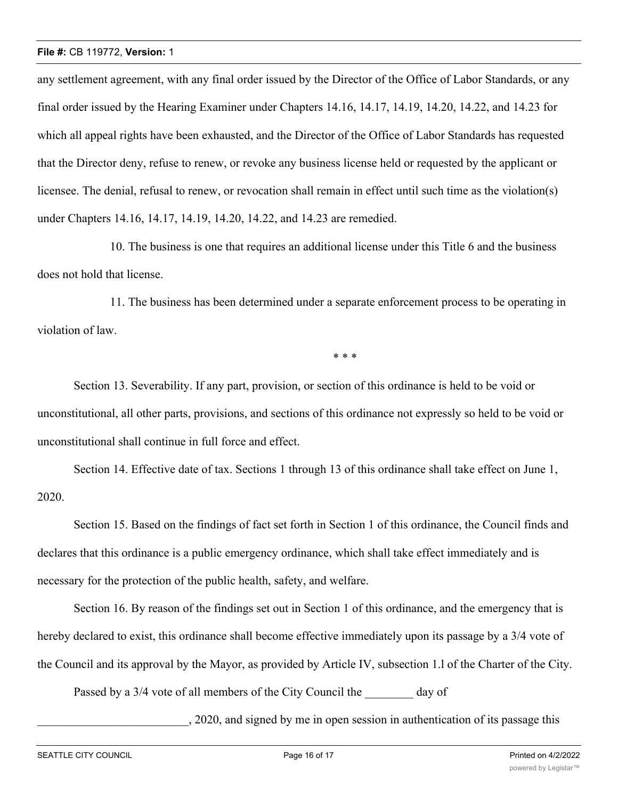any settlement agreement, with any final order issued by the Director of the Office of Labor Standards, or any final order issued by the Hearing Examiner under Chapters 14.16, 14.17, 14.19, 14.20, 14.22, and 14.23 for which all appeal rights have been exhausted, and the Director of the Office of Labor Standards has requested that the Director deny, refuse to renew, or revoke any business license held or requested by the applicant or licensee. The denial, refusal to renew, or revocation shall remain in effect until such time as the violation(s) under Chapters 14.16, 14.17, 14.19, 14.20, 14.22, and 14.23 are remedied.

10. The business is one that requires an additional license under this Title 6 and the business does not hold that license.

11. The business has been determined under a separate enforcement process to be operating in violation of law.

\* \* \*

Section 13. Severability. If any part, provision, or section of this ordinance is held to be void or unconstitutional, all other parts, provisions, and sections of this ordinance not expressly so held to be void or unconstitutional shall continue in full force and effect.

Section 14. Effective date of tax. Sections 1 through 13 of this ordinance shall take effect on June 1, 2020.

Section 15. Based on the findings of fact set forth in Section 1 of this ordinance, the Council finds and declares that this ordinance is a public emergency ordinance, which shall take effect immediately and is necessary for the protection of the public health, safety, and welfare.

Section 16. By reason of the findings set out in Section 1 of this ordinance, and the emergency that is hereby declared to exist, this ordinance shall become effective immediately upon its passage by a 3/4 vote of the Council and its approval by the Mayor, as provided by Article IV, subsection 1.l of the Charter of the City.

Passed by a 3/4 vote of all members of the City Council the day of

\_\_\_\_\_\_\_\_\_\_\_\_\_\_\_\_\_\_\_\_\_\_\_\_\_, 2020, and signed by me in open session in authentication of its passage this